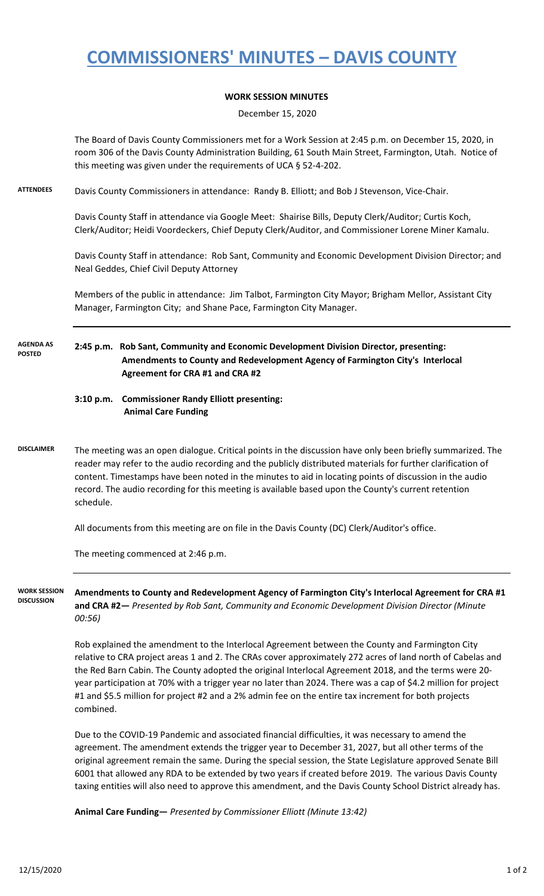## **COMMISSIONERS' MINUTES – DAVIS COUNTY**

### **WORK SESSION MINUTES**

December 15, 2020

The Board of Davis County Commissioners met for a Work Session at 2:45 p.m. on December 15, 2020, in room 306 of the Davis County Administration Building, 61 South Main Street, Farmington, Utah. Notice of this meeting was given under the requirements of UCA § 52-4-202.

**ATTENDEES** Davis County Commissioners in attendance: Randy B. Elliott; and Bob J Stevenson, Vice-Chair.

Davis County Staff in attendance via Google Meet: Shairise Bills, Deputy Clerk/Auditor; Curtis Koch, Clerk/Auditor; Heidi Voordeckers, Chief Deputy Clerk/Auditor, and Commissioner Lorene Miner Kamalu.

Davis County Staff in attendance: Rob Sant, Community and Economic Development Division Director; and Neal Geddes, Chief Civil Deputy Attorney

Members of the public in attendance: Jim Talbot, Farmington City Mayor; Brigham Mellor, Assistant City Manager, Farmington City; and Shane Pace, Farmington City Manager.

**2:45 p.m. Rob Sant, Community and Economic Development Division Director, presenting: Amendments to County and Redevelopment Agency of Farmington City's Interlocal Agreement for CRA #1 and CRA #2 AGENDA AS POSTED**

### **3:10 p.m. Commissioner Randy Elliott presenting: Animal Care Funding**

**DISCLAIMER** The meeting was an open dialogue. Critical points in the discussion have only been briefly summarized. The reader may refer to the audio recording and the publicly distributed materials for further clarification of content. Timestamps have been noted in the minutes to aid in locating points of discussion in the audio record. The audio recording for this meeting is available based upon the County's current retention schedule.

All documents from this meeting are on file in the Davis County (DC) Clerk/Auditor's office.

The meeting commenced at 2:46 p.m.

**WORK SESSION DISCUSSION**

**Amendments to County and Redevelopment Agency of Farmington City's Interlocal Agreement for CRA #1 and CRA #2—** *Presented by Rob Sant, Community and Economic Development Division Director (Minute 00:56)*

Rob explained the amendment to the Interlocal Agreement between the County and Farmington City relative to CRA project areas 1 and 2. The CRAs cover approximately 272 acres of land north of Cabelas and the Red Barn Cabin. The County adopted the original Interlocal Agreement 2018, and the terms were 20 year participation at 70% with a trigger year no later than 2024. There was a cap of \$4.2 million for project #1 and \$5.5 million for project #2 and a 2% admin fee on the entire tax increment for both projects combined.

Due to the COVID-19 Pandemic and associated financial difficulties, it was necessary to amend the agreement. The amendment extends the trigger year to December 31, 2027, but all other terms of the original agreement remain the same. During the special session, the State Legislature approved Senate Bill 6001 that allowed any RDA to be extended by two years if created before 2019. The various Davis County taxing entities will also need to approve this amendment, and the Davis County School District already has.

**Animal Care Funding—** *Presented by Commissioner Elliott (Minute 13:42)*